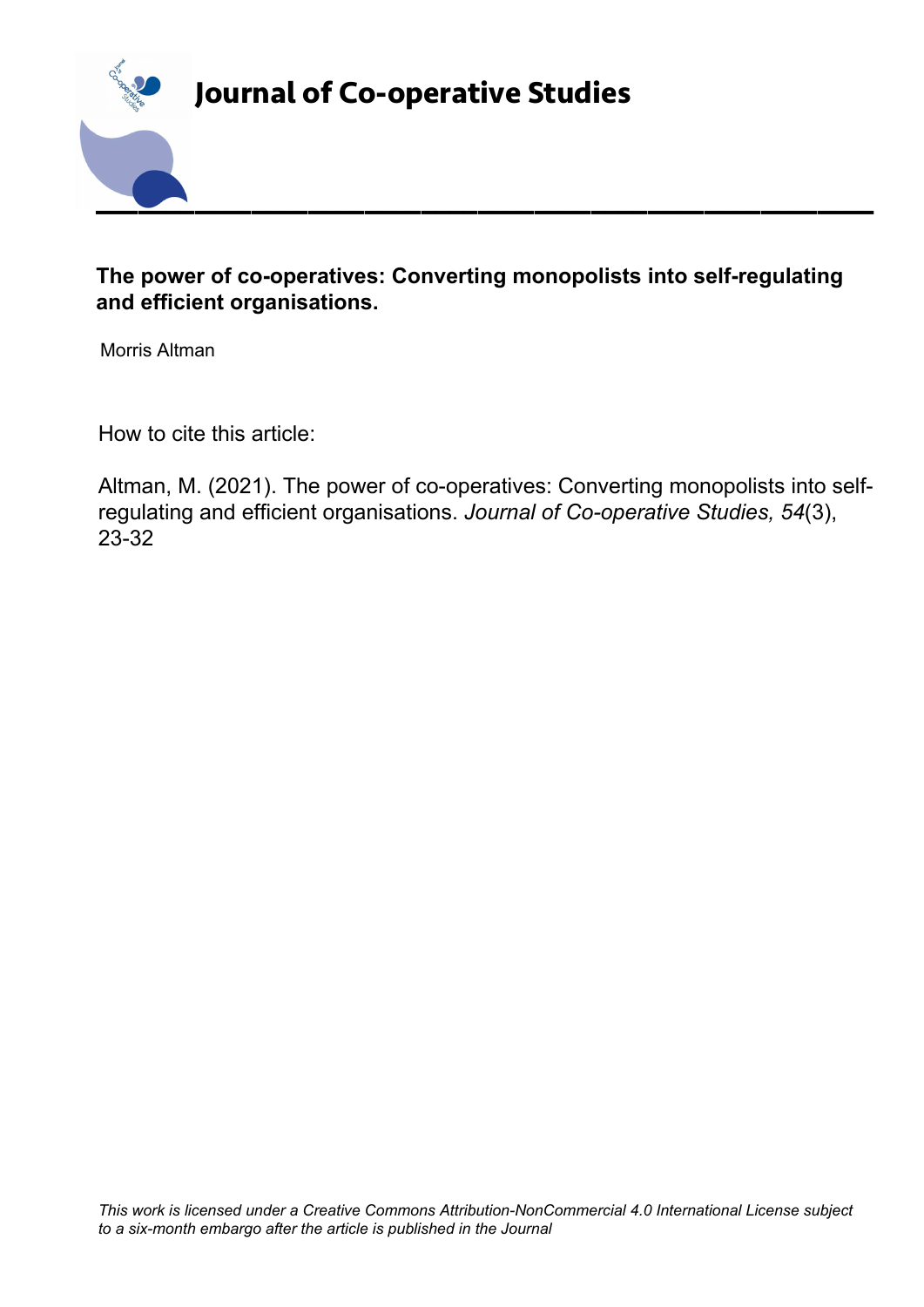

## **The power of co-operatives: Converting monopolists into self-regulating and efficient organisations.**

Morris Altman

How to cite this article:

Altman, M. (2021). The power of co-operatives: Converting monopolists into selfregulating and efficient organisations. *Journal of Co-operative Studies, 54*(3), 23-32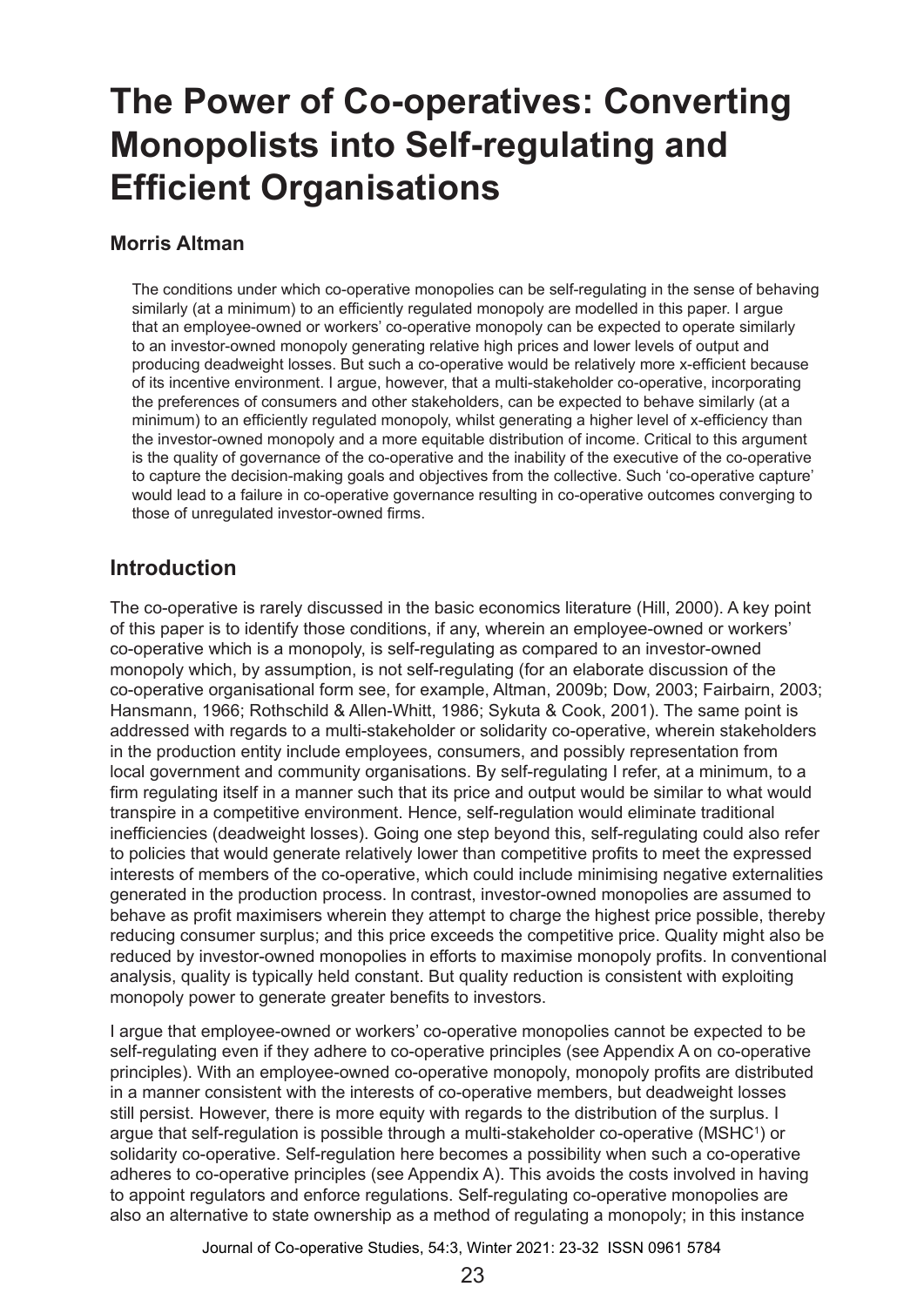# **The Power of Co-operatives: Converting Monopolists into Self-regulating and Efficient Organisations**

### **Morris Altman**

The conditions under which co-operative monopolies can be self-regulating in the sense of behaving similarly (at a minimum) to an efficiently regulated monopoly are modelled in this paper. I argue that an employee-owned or workers' co-operative monopoly can be expected to operate similarly to an investor-owned monopoly generating relative high prices and lower levels of output and producing deadweight losses. But such a co-operative would be relatively more x-efficient because of its incentive environment. I argue, however, that a multi-stakeholder co-operative, incorporating the preferences of consumers and other stakeholders, can be expected to behave similarly (at a minimum) to an efficiently regulated monopoly, whilst generating a higher level of x-efficiency than the investor-owned monopoly and a more equitable distribution of income. Critical to this argument is the quality of governance of the co-operative and the inability of the executive of the co-operative to capture the decision-making goals and objectives from the collective. Such 'co-operative capture' would lead to a failure in co-operative governance resulting in co-operative outcomes converging to those of unregulated investor-owned firms.

## **Introduction**

The co-operative is rarely discussed in the basic economics literature (Hill, 2000). A key point of this paper is to identify those conditions, if any, wherein an employee-owned or workers' co‑operative which is a monopoly, is self-regulating as compared to an investor-owned monopoly which, by assumption, is not self-regulating (for an elaborate discussion of the co‑operative organisational form see, for example, Altman, 2009b; Dow, 2003; Fairbairn, 2003; Hansmann, 1966; Rothschild & Allen-Whitt, 1986; Sykuta & Cook, 2001). The same point is addressed with regards to a multi-stakeholder or solidarity co-operative, wherein stakeholders in the production entity include employees, consumers, and possibly representation from local government and community organisations. By self-regulating I refer, at a minimum, to a firm regulating itself in a manner such that its price and output would be similar to what would transpire in a competitive environment. Hence, self-regulation would eliminate traditional inefficiencies (deadweight losses). Going one step beyond this, self-regulating could also refer to policies that would generate relatively lower than competitive profits to meet the expressed interests of members of the co-operative, which could include minimising negative externalities generated in the production process. In contrast, investor-owned monopolies are assumed to behave as profit maximisers wherein they attempt to charge the highest price possible, thereby reducing consumer surplus; and this price exceeds the competitive price. Quality might also be reduced by investor-owned monopolies in efforts to maximise monopoly profits. In conventional analysis, quality is typically held constant. But quality reduction is consistent with exploiting monopoly power to generate greater benefits to investors.

I argue that employee-owned or workers' co-operative monopolies cannot be expected to be self-regulating even if they adhere to co-operative principles (see Appendix A on co-operative principles). With an employee-owned co-operative monopoly, monopoly profits are distributed in a manner consistent with the interests of co-operative members, but deadweight losses still persist. However, there is more equity with regards to the distribution of the surplus. I argue that self-regulation is possible through a multi-stakeholder co-operative (MSHC<sup>1</sup>) or solidarity co-operative. Self-regulation here becomes a possibility when such a co-operative adheres to co-operative principles (see Appendix A). This avoids the costs involved in having to appoint regulators and enforce regulations. Self-regulating co-operative monopolies are also an alternative to state ownership as a method of regulating a monopoly; in this instance

Journal of Co-operative Studies, 54:3, Winter 2021: 23-32 ISSN 0961 5784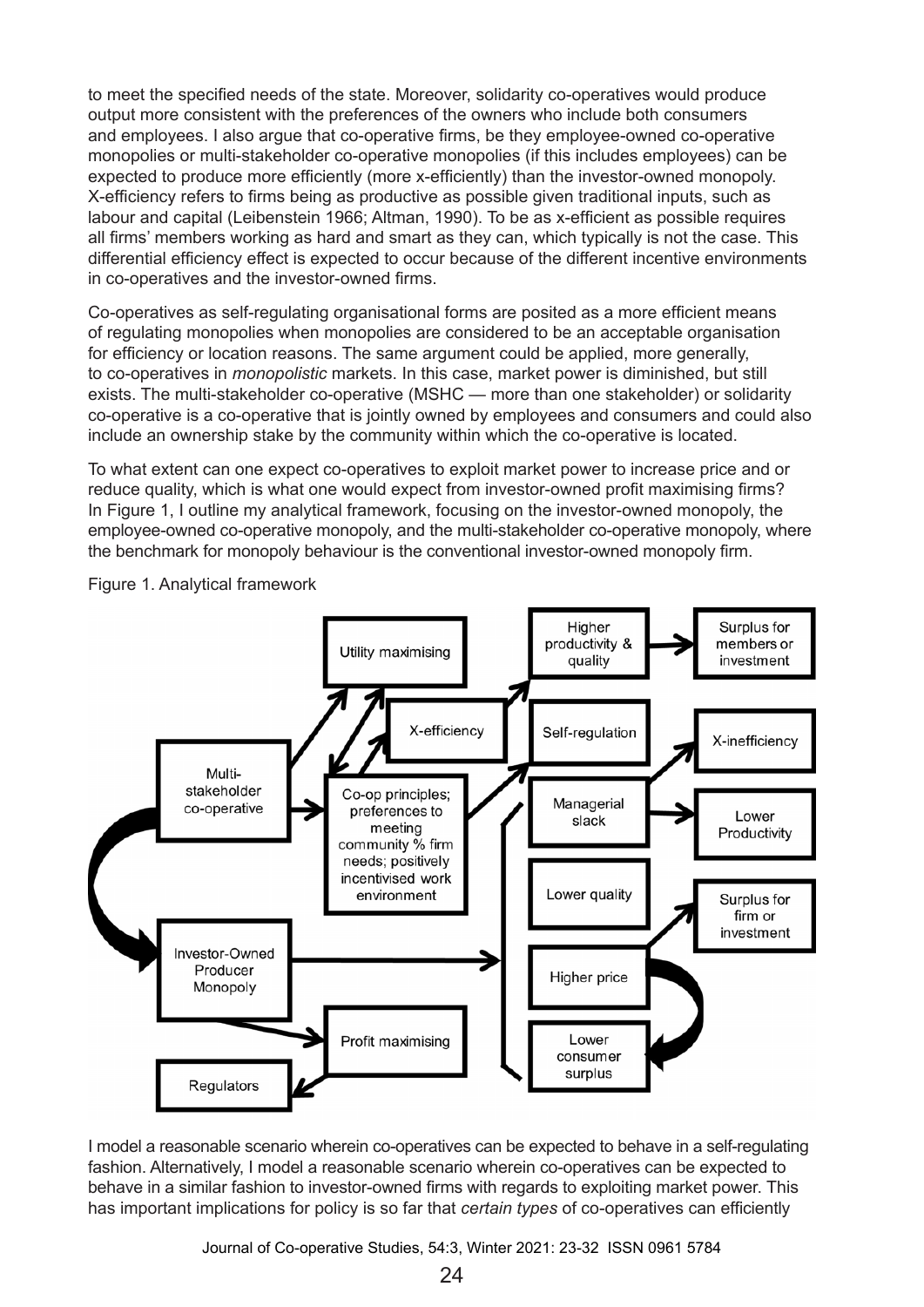to meet the specified needs of the state. Moreover, solidarity co-operatives would produce output more consistent with the preferences of the owners who include both consumers and employees. I also argue that co-operative firms, be they employee-owned co-operative monopolies or multi-stakeholder co-operative monopolies (if this includes employees) can be expected to produce more efficiently (more x-efficiently) than the investor-owned monopoly. X-efficiency refers to firms being as productive as possible given traditional inputs, such as labour and capital (Leibenstein 1966; Altman, 1990). To be as x-efficient as possible requires all firms' members working as hard and smart as they can, which typically is not the case. This differential efficiency effect is expected to occur because of the different incentive environments in co-operatives and the investor-owned firms.

Co-operatives as self-regulating organisational forms are posited as a more efficient means of regulating monopolies when monopolies are considered to be an acceptable organisation for efficiency or location reasons. The same argument could be applied, more generally, to co-operatives in *monopolistic* markets. In this case, market power is diminished, but still exists. The multi-stakeholder co-operative (MSHC — more than one stakeholder) or solidarity co-operative is a co-operative that is jointly owned by employees and consumers and could also include an ownership stake by the community within which the co-operative is located.

To what extent can one expect co-operatives to exploit market power to increase price and or reduce quality, which is what one would expect from investor-owned profit maximising firms? In Figure 1, I outline my analytical framework, focusing on the investor-owned monopoly, the employee-owned co-operative monopoly, and the multi-stakeholder co-operative monopoly, where the benchmark for monopoly behaviour is the conventional investor-owned monopoly firm.



Figure 1. Analytical framework

I model a reasonable scenario wherein co-operatives can be expected to behave in a self-regulating fashion. Alternatively, I model a reasonable scenario wherein co-operatives can be expected to behave in a similar fashion to investor-owned firms with regards to exploiting market power. This has important implications for policy is so far that *certain types* of co-operatives can efficiently

Journal of Co-operative Studies, 54:3, Winter 2021: 23-32 ISSN 0961 5784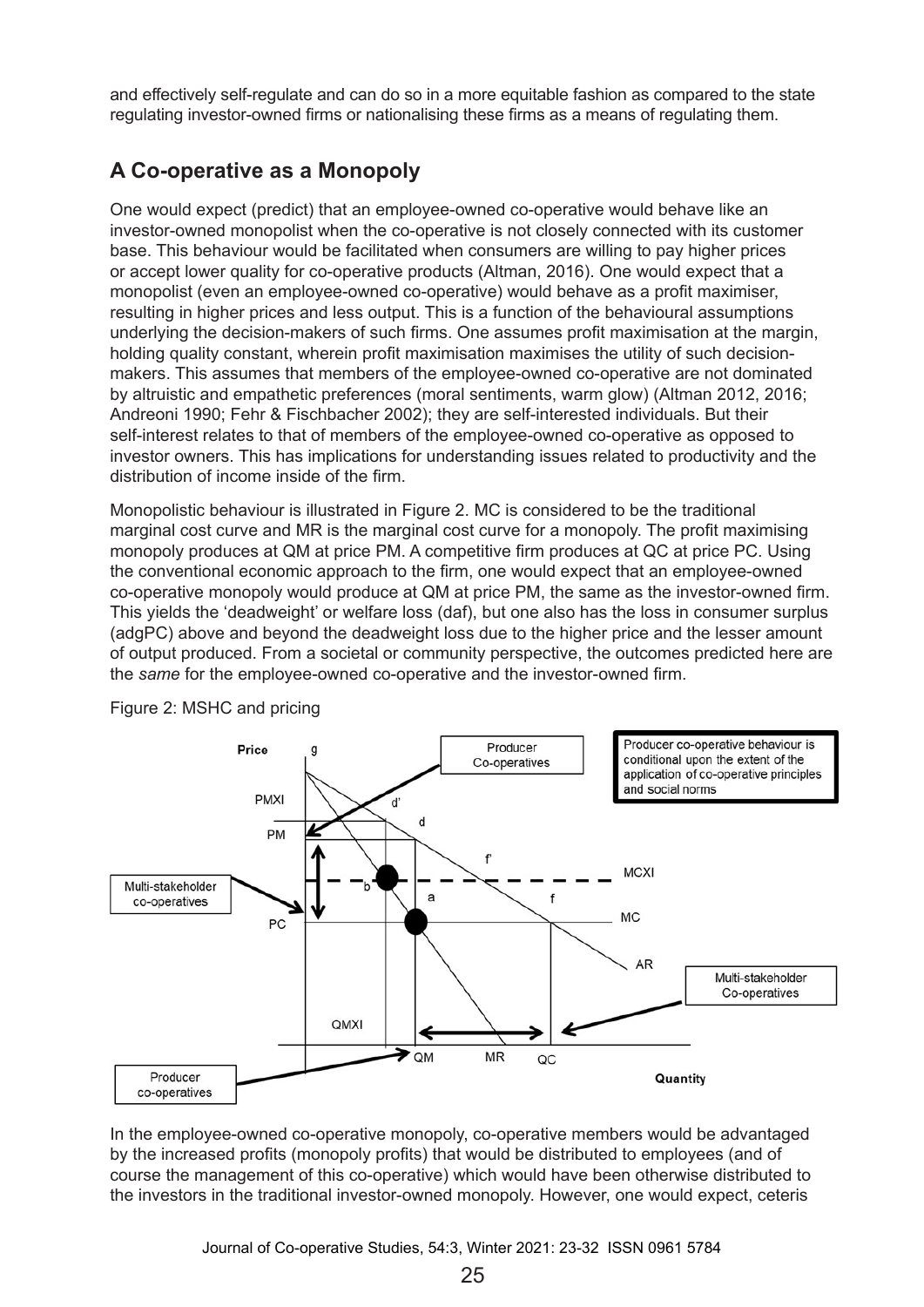and effectively self-regulate and can do so in a more equitable fashion as compared to the state regulating investor-owned firms or nationalising these firms as a means of regulating them.

# **A Co-operative as a Monopoly**

One would expect (predict) that an employee-owned co-operative would behave like an investor-owned monopolist when the co-operative is not closely connected with its customer base. This behaviour would be facilitated when consumers are willing to pay higher prices or accept lower quality for co-operative products (Altman, 2016). One would expect that a monopolist (even an employee-owned co-operative) would behave as a profit maximiser, resulting in higher prices and less output. This is a function of the behavioural assumptions underlying the decision-makers of such firms. One assumes profit maximisation at the margin, holding quality constant, wherein profit maximisation maximises the utility of such decisionmakers. This assumes that members of the employee-owned co-operative are not dominated by altruistic and empathetic preferences (moral sentiments, warm glow) (Altman 2012, 2016; Andreoni 1990; Fehr & Fischbacher 2002); they are self-interested individuals. But their self-interest relates to that of members of the employee-owned co-operative as opposed to investor owners. This has implications for understanding issues related to productivity and the distribution of income inside of the firm.

Monopolistic behaviour is illustrated in Figure 2. MC is considered to be the traditional marginal cost curve and MR is the marginal cost curve for a monopoly. The profit maximising monopoly produces at QM at price PM. A competitive firm produces at QC at price PC. Using the conventional economic approach to the firm, one would expect that an employee-owned co‑operative monopoly would produce at QM at price PM, the same as the investor-owned firm. This yields the 'deadweight' or welfare loss (daf), but one also has the loss in consumer surplus (adgPC) above and beyond the deadweight loss due to the higher price and the lesser amount of output produced. From a societal or community perspective, the outcomes predicted here are the *same* for the employee-owned co-operative and the investor-owned firm.



Figure 2: MSHC and pricing

In the employee-owned co-operative monopoly, co-operative members would be advantaged by the increased profits (monopoly profits) that would be distributed to employees (and of course the management of this co-operative) which would have been otherwise distributed to the investors in the traditional investor-owned monopoly. However, one would expect, ceteris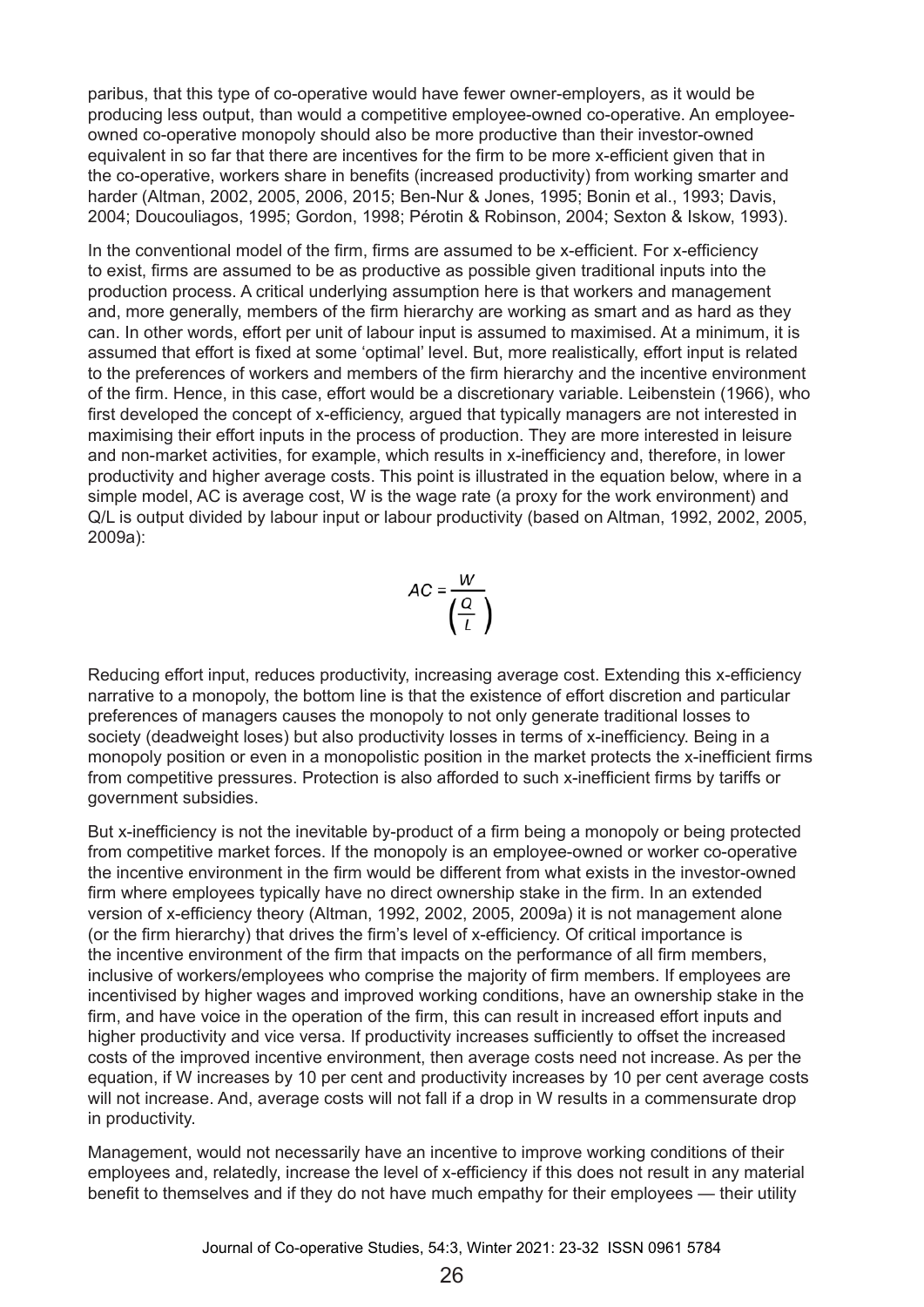paribus, that this type of co-operative would have fewer owner-employers, as it would be producing less output, than would a competitive employee-owned co-operative. An employeeowned co-operative monopoly should also be more productive than their investor-owned equivalent in so far that there are incentives for the firm to be more x-efficient given that in the co-operative, workers share in benefits (increased productivity) from working smarter and harder (Altman, 2002, 2005, 2006, 2015; Ben-Nur & Jones, 1995; Bonin et al., 1993; Davis, 2004; Doucouliagos, 1995; Gordon, 1998; Pérotin & Robinson, 2004; Sexton & Iskow, 1993).

In the conventional model of the firm, firms are assumed to be x-efficient. For x-efficiency to exist, firms are assumed to be as productive as possible given traditional inputs into the production process. A critical underlying assumption here is that workers and management and, more generally, members of the firm hierarchy are working as smart and as hard as they can. In other words, effort per unit of labour input is assumed to maximised. At a minimum, it is assumed that effort is fixed at some 'optimal' level. But, more realistically, effort input is related to the preferences of workers and members of the firm hierarchy and the incentive environment of the firm. Hence, in this case, effort would be a discretionary variable. Leibenstein (1966), who first developed the concept of x-efficiency, argued that typically managers are not interested in maximising their effort inputs in the process of production. They are more interested in leisure and non-market activities, for example, which results in x-inefficiency and, therefore, in lower productivity and higher average costs. This point is illustrated in the equation below, where in a simple model, AC is average cost, W is the wage rate (a proxy for the work environment) and Q/L is output divided by labour input or labour productivity (based on Altman, 1992, 2002, 2005, 2009a):

$$
AC = \frac{W}{\left(\frac{Q}{L}\right)}
$$

Reducing effort input, reduces productivity, increasing average cost. Extending this x-efficiency narrative to a monopoly, the bottom line is that the existence of effort discretion and particular preferences of managers causes the monopoly to not only generate traditional losses to society (deadweight loses) but also productivity losses in terms of x-inefficiency. Being in a monopoly position or even in a monopolistic position in the market protects the x-inefficient firms from competitive pressures. Protection is also afforded to such x-inefficient firms by tariffs or government subsidies.

But x-inefficiency is not the inevitable by-product of a firm being a monopoly or being protected from competitive market forces. If the monopoly is an employee-owned or worker co-operative the incentive environment in the firm would be different from what exists in the investor-owned firm where employees typically have no direct ownership stake in the firm. In an extended version of x-efficiency theory (Altman, 1992, 2002, 2005, 2009a) it is not management alone (or the firm hierarchy) that drives the firm's level of x-efficiency. Of critical importance is the incentive environment of the firm that impacts on the performance of all firm members, inclusive of workers/employees who comprise the majority of firm members. If employees are incentivised by higher wages and improved working conditions, have an ownership stake in the firm, and have voice in the operation of the firm, this can result in increased effort inputs and higher productivity and vice versa. If productivity increases sufficiently to offset the increased costs of the improved incentive environment, then average costs need not increase. As per the equation, if W increases by 10 per cent and productivity increases by 10 per cent average costs will not increase. And, average costs will not fall if a drop in W results in a commensurate drop in productivity.

Management, would not necessarily have an incentive to improve working conditions of their employees and, relatedly, increase the level of x-efficiency if this does not result in any material benefit to themselves and if they do not have much empathy for their employees — their utility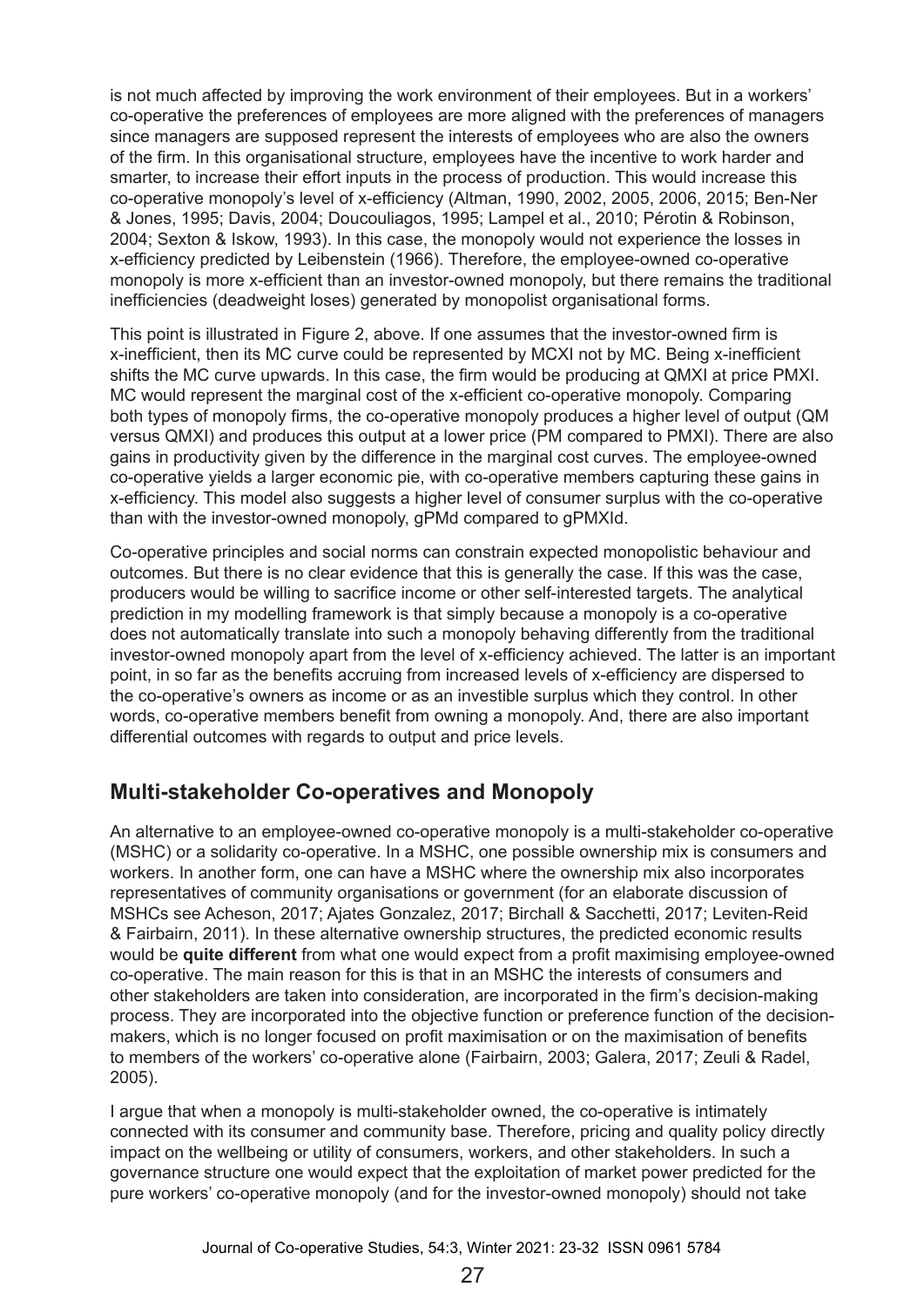is not much affected by improving the work environment of their employees. But in a workers' co-operative the preferences of employees are more aligned with the preferences of managers since managers are supposed represent the interests of employees who are also the owners of the firm. In this organisational structure, employees have the incentive to work harder and smarter, to increase their effort inputs in the process of production. This would increase this co-operative monopoly's level of x-efficiency (Altman, 1990, 2002, 2005, 2006, 2015; Ben-Ner & Jones, 1995; Davis, 2004; Doucouliagos, 1995; Lampel et al., 2010; Pérotin & Robinson, 2004; Sexton & Iskow, 1993). In this case, the monopoly would not experience the losses in x-efficiency predicted by Leibenstein (1966). Therefore, the employee-owned co-operative monopoly is more x-efficient than an investor-owned monopoly, but there remains the traditional inefficiencies (deadweight loses) generated by monopolist organisational forms.

This point is illustrated in Figure 2, above. If one assumes that the investor-owned firm is x-inefficient, then its MC curve could be represented by MCXI not by MC. Being x-inefficient shifts the MC curve upwards. In this case, the firm would be producing at QMXI at price PMXI. MC would represent the marginal cost of the x-efficient co-operative monopoly. Comparing both types of monopoly firms, the co-operative monopoly produces a higher level of output (QM versus QMXI) and produces this output at a lower price (PM compared to PMXI). There are also gains in productivity given by the difference in the marginal cost curves. The employee-owned co-operative yields a larger economic pie, with co-operative members capturing these gains in x-efficiency. This model also suggests a higher level of consumer surplus with the co-operative than with the investor-owned monopoly, gPMd compared to gPMXId.

Co-operative principles and social norms can constrain expected monopolistic behaviour and outcomes. But there is no clear evidence that this is generally the case. If this was the case, producers would be willing to sacrifice income or other self-interested targets. The analytical prediction in my modelling framework is that simply because a monopoly is a co-operative does not automatically translate into such a monopoly behaving differently from the traditional investor-owned monopoly apart from the level of x-efficiency achieved. The latter is an important point, in so far as the benefits accruing from increased levels of x-efficiency are dispersed to the co-operative's owners as income or as an investible surplus which they control. In other words, co-operative members benefit from owning a monopoly. And, there are also important differential outcomes with regards to output and price levels.

## **Multi-stakeholder Co-operatives and Monopoly**

An alternative to an employee-owned co-operative monopoly is a multi-stakeholder co-operative (MSHC) or a solidarity co-operative. In a MSHC, one possible ownership mix is consumers and workers. In another form, one can have a MSHC where the ownership mix also incorporates representatives of community organisations or government (for an elaborate discussion of MSHCs see Acheson, 2017; Ajates Gonzalez, 2017; Birchall & Sacchetti, 2017; Leviten-Reid & Fairbairn, 2011). In these alternative ownership structures, the predicted economic results would be **quite different** from what one would expect from a profit maximising employee-owned co-operative. The main reason for this is that in an MSHC the interests of consumers and other stakeholders are taken into consideration, are incorporated in the firm's decision-making process. They are incorporated into the objective function or preference function of the decisionmakers, which is no longer focused on profit maximisation or on the maximisation of benefits to members of the workers' co-operative alone (Fairbairn, 2003; Galera, 2017; Zeuli & Radel, 2005).

I argue that when a monopoly is multi-stakeholder owned, the co-operative is intimately connected with its consumer and community base. Therefore, pricing and quality policy directly impact on the wellbeing or utility of consumers, workers, and other stakeholders. In such a governance structure one would expect that the exploitation of market power predicted for the pure workers' co-operative monopoly (and for the investor-owned monopoly) should not take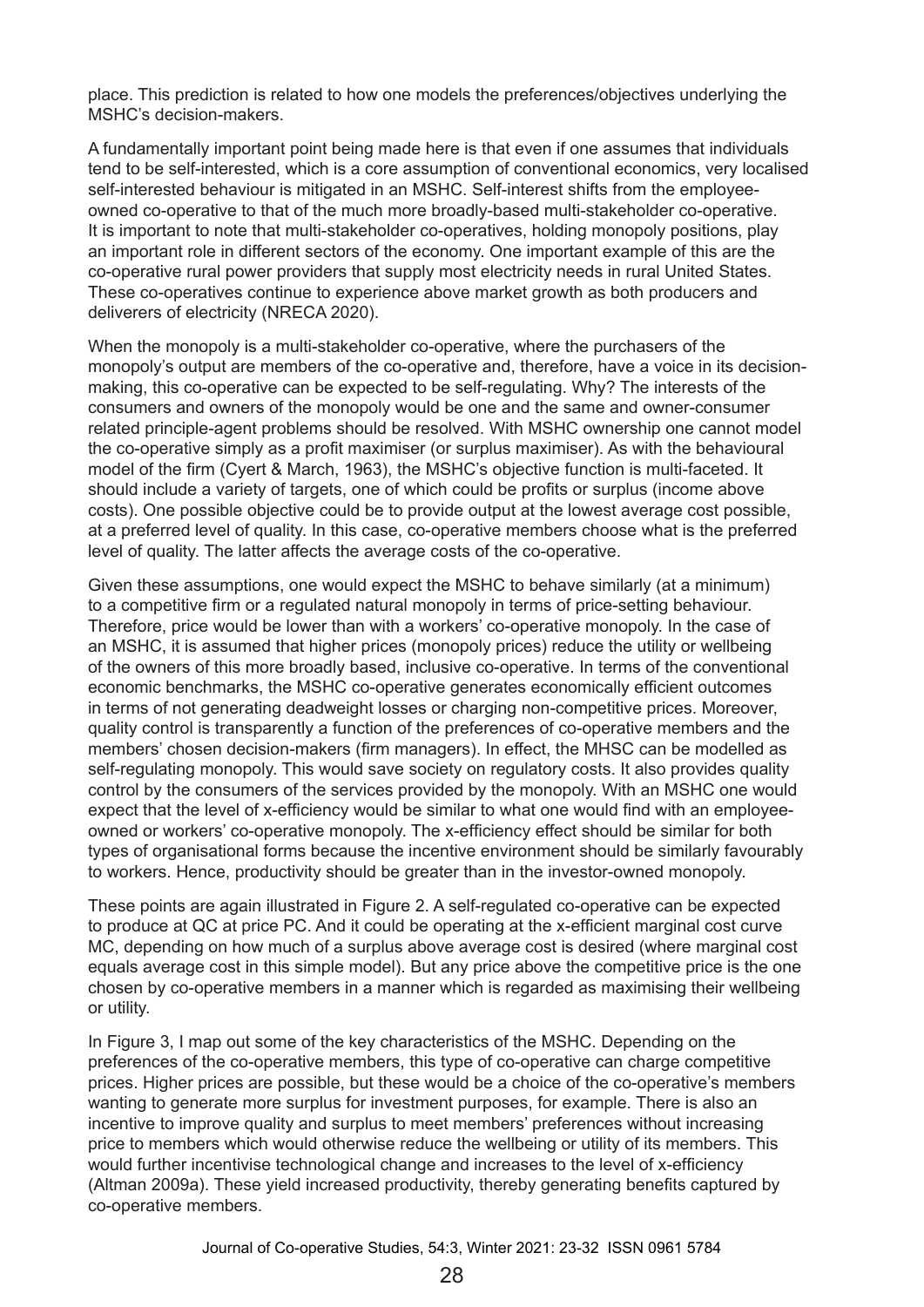place. This prediction is related to how one models the preferences/objectives underlying the MSHC's decision-makers.

A fundamentally important point being made here is that even if one assumes that individuals tend to be self-interested, which is a core assumption of conventional economics, very localised self-interested behaviour is mitigated in an MSHC. Self-interest shifts from the employeeowned co-operative to that of the much more broadly-based multi-stakeholder co-operative. It is important to note that multi-stakeholder co-operatives, holding monopoly positions, play an important role in different sectors of the economy. One important example of this are the co-operative rural power providers that supply most electricity needs in rural United States. These co-operatives continue to experience above market growth as both producers and deliverers of electricity (NRECA 2020).

When the monopoly is a multi-stakeholder co-operative, where the purchasers of the monopoly's output are members of the co-operative and, therefore, have a voice in its decisionmaking, this co-operative can be expected to be self-regulating. Why? The interests of the consumers and owners of the monopoly would be one and the same and owner-consumer related principle-agent problems should be resolved. With MSHC ownership one cannot model the co-operative simply as a profit maximiser (or surplus maximiser). As with the behavioural model of the firm (Cyert & March, 1963), the MSHC's objective function is multi-faceted. It should include a variety of targets, one of which could be profits or surplus (income above costs). One possible objective could be to provide output at the lowest average cost possible, at a preferred level of quality. In this case, co-operative members choose what is the preferred level of quality. The latter affects the average costs of the co-operative.

Given these assumptions, one would expect the MSHC to behave similarly (at a minimum) to a competitive firm or a regulated natural monopoly in terms of price-setting behaviour. Therefore, price would be lower than with a workers' co-operative monopoly. In the case of an MSHC, it is assumed that higher prices (monopoly prices) reduce the utility or wellbeing of the owners of this more broadly based, inclusive co-operative. In terms of the conventional economic benchmarks, the MSHC co-operative generates economically efficient outcomes in terms of not generating deadweight losses or charging non-competitive prices. Moreover, quality control is transparently a function of the preferences of co-operative members and the members' chosen decision-makers (firm managers). In effect, the MHSC can be modelled as self-regulating monopoly. This would save society on regulatory costs. It also provides quality control by the consumers of the services provided by the monopoly. With an MSHC one would expect that the level of x-efficiency would be similar to what one would find with an employeeowned or workers' co-operative monopoly. The x-efficiency effect should be similar for both types of organisational forms because the incentive environment should be similarly favourably to workers. Hence, productivity should be greater than in the investor-owned monopoly.

These points are again illustrated in Figure 2. A self-regulated co-operative can be expected to produce at QC at price PC. And it could be operating at the x-efficient marginal cost curve MC, depending on how much of a surplus above average cost is desired (where marginal cost equals average cost in this simple model). But any price above the competitive price is the one chosen by co-operative members in a manner which is regarded as maximising their wellbeing or utility.

In Figure 3, I map out some of the key characteristics of the MSHC. Depending on the preferences of the co-operative members, this type of co-operative can charge competitive prices. Higher prices are possible, but these would be a choice of the co-operative's members wanting to generate more surplus for investment purposes, for example. There is also an incentive to improve quality and surplus to meet members' preferences without increasing price to members which would otherwise reduce the wellbeing or utility of its members. This would further incentivise technological change and increases to the level of x-efficiency (Altman 2009a). These yield increased productivity, thereby generating benefits captured by co‑operative members.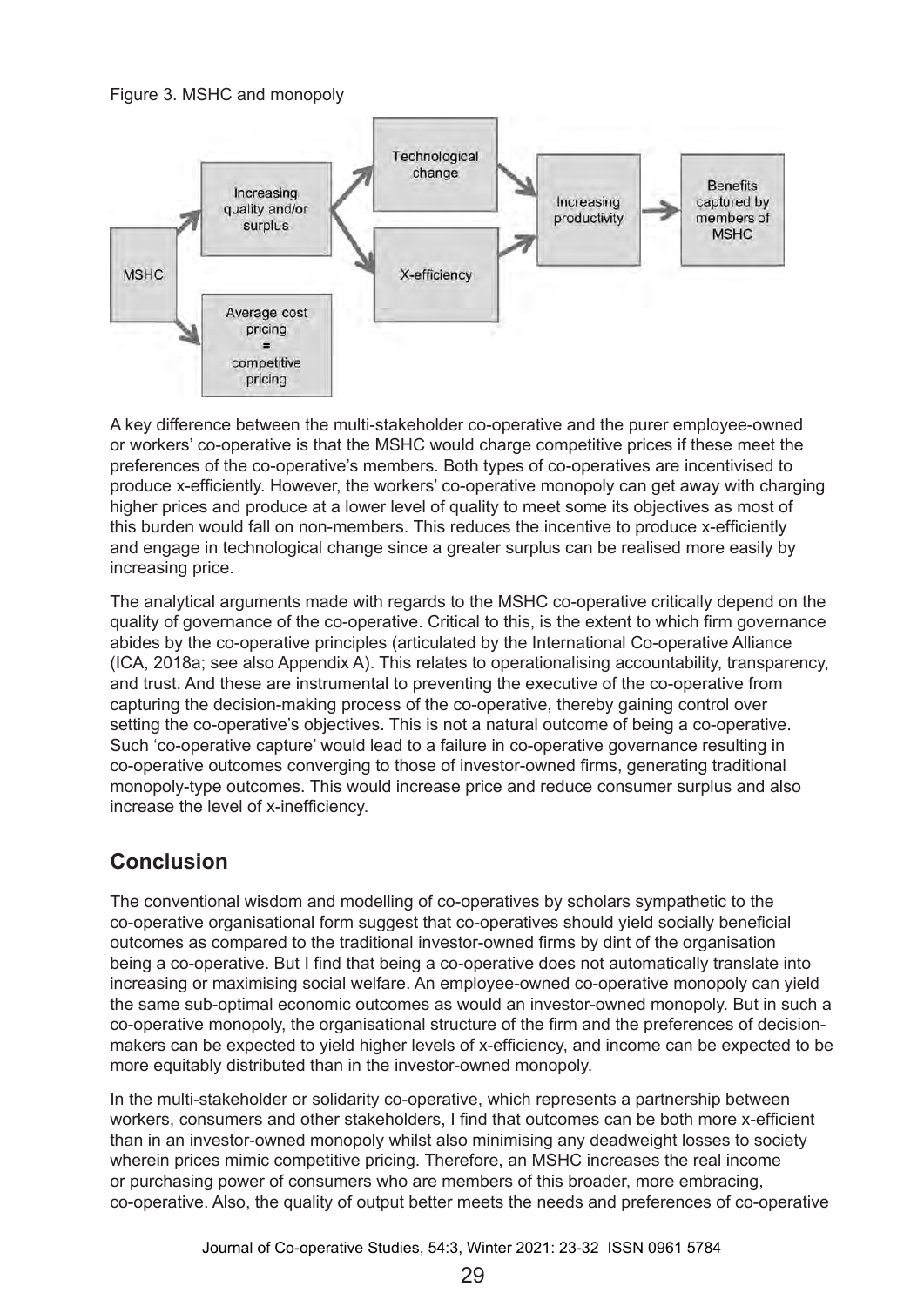#### Figure 3. MSHC and monopoly



A key difference between the multi-stakeholder co-operative and the purer employee-owned or workers' co-operative is that the MSHC would charge competitive prices if these meet the preferences of the co-operative's members. Both types of co-operatives are incentivised to produce x-efficiently. However, the workers' co-operative monopoly can get away with charging higher prices and produce at a lower level of quality to meet some its objectives as most of this burden would fall on non-members. This reduces the incentive to produce x-efficiently and engage in technological change since a greater surplus can be realised more easily by increasing price.

The analytical arguments made with regards to the MSHC co-operative critically depend on the quality of governance of the co-operative. Critical to this, is the extent to which firm governance abides by the co-operative principles (articulated by the International Co-operative Alliance (ICA, 2018a; see also Appendix A). This relates to operationalising accountability, transparency, and trust. And these are instrumental to preventing the executive of the co-operative from capturing the decision-making process of the co-operative, thereby gaining control over setting the co-operative's objectives. This is not a natural outcome of being a co-operative. Such 'co-operative capture' would lead to a failure in co-operative governance resulting in co-operative outcomes converging to those of investor-owned firms, generating traditional monopoly-type outcomes. This would increase price and reduce consumer surplus and also increase the level of x-inefficiency.

## **Conclusion**

The conventional wisdom and modelling of co-operatives by scholars sympathetic to the co-operative organisational form suggest that co-operatives should yield socially beneficial outcomes as compared to the traditional investor-owned firms by dint of the organisation being a co-operative. But I find that being a co-operative does not automatically translate into increasing or maximising social welfare. An employee-owned co-operative monopoly can yield the same sub-optimal economic outcomes as would an investor-owned monopoly. But in such a co-operative monopoly, the organisational structure of the firm and the preferences of decisionmakers can be expected to yield higher levels of x-efficiency, and income can be expected to be more equitably distributed than in the investor-owned monopoly.

In the multi-stakeholder or solidarity co-operative, which represents a partnership between workers, consumers and other stakeholders, I find that outcomes can be both more x-efficient than in an investor-owned monopoly whilst also minimising any deadweight losses to society wherein prices mimic competitive pricing. Therefore, an MSHC increases the real income or purchasing power of consumers who are members of this broader, more embracing, co-operative. Also, the quality of output better meets the needs and preferences of co-operative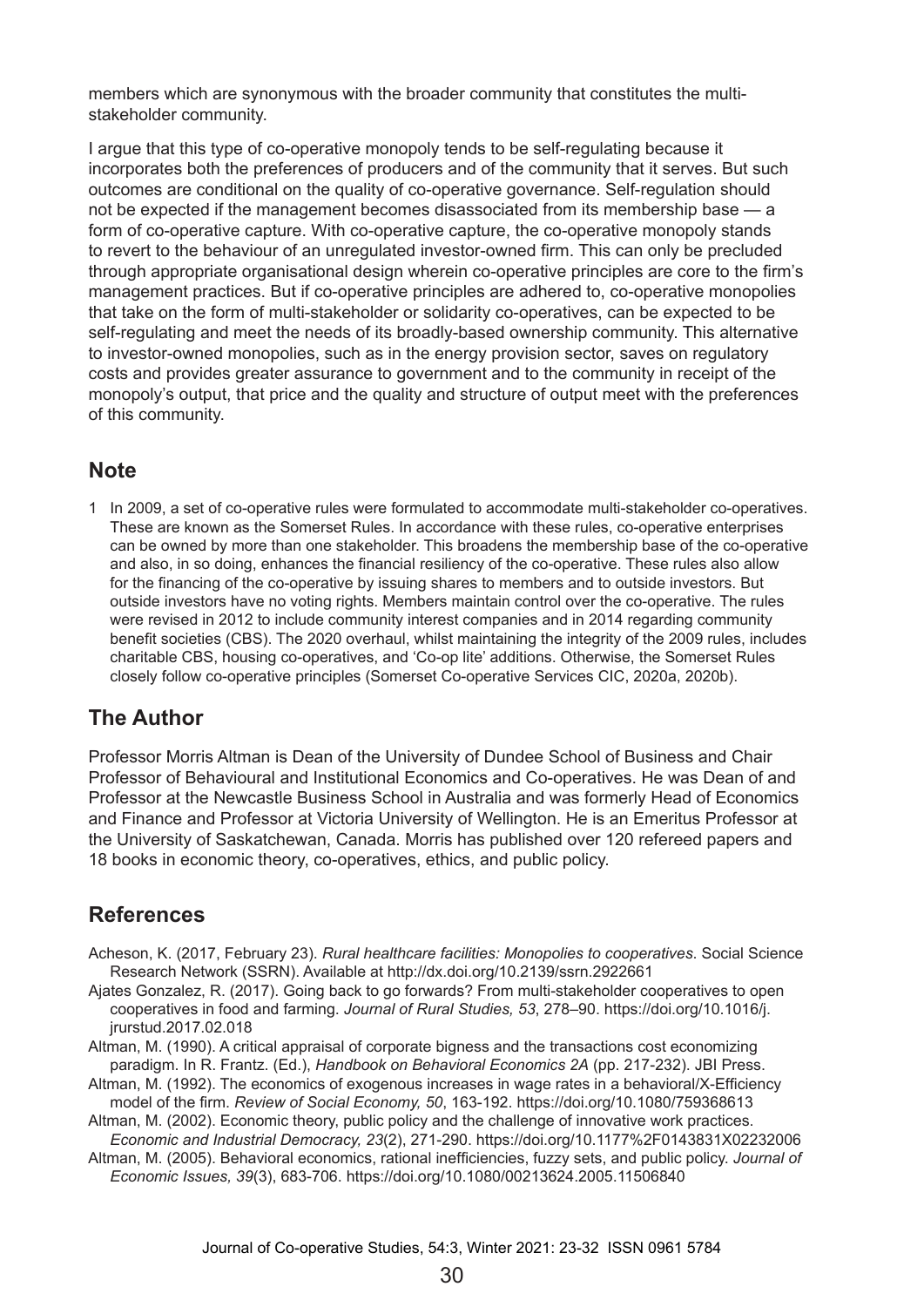members which are synonymous with the broader community that constitutes the multistakeholder community.

I argue that this type of co-operative monopoly tends to be self-regulating because it incorporates both the preferences of producers and of the community that it serves. But such outcomes are conditional on the quality of co-operative governance. Self-regulation should not be expected if the management becomes disassociated from its membership base — a form of co-operative capture. With co-operative capture, the co-operative monopoly stands to revert to the behaviour of an unregulated investor-owned firm. This can only be precluded through appropriate organisational design wherein co-operative principles are core to the firm's management practices. But if co-operative principles are adhered to, co-operative monopolies that take on the form of multi-stakeholder or solidarity co-operatives, can be expected to be self-regulating and meet the needs of its broadly-based ownership community. This alternative to investor-owned monopolies, such as in the energy provision sector, saves on regulatory costs and provides greater assurance to government and to the community in receipt of the monopoly's output, that price and the quality and structure of output meet with the preferences of this community.

## **Note**

1 In 2009, a set of co-operative rules were formulated to accommodate multi-stakeholder co-operatives. These are known as the Somerset Rules. In accordance with these rules, co-operative enterprises can be owned by more than one stakeholder. This broadens the membership base of the co-operative and also, in so doing, enhances the financial resiliency of the co-operative. These rules also allow for the financing of the co-operative by issuing shares to members and to outside investors. But outside investors have no voting rights. Members maintain control over the co-operative. The rules were revised in 2012 to include community interest companies and in 2014 regarding community benefit societies (CBS). The 2020 overhaul, whilst maintaining the integrity of the 2009 rules, includes charitable CBS, housing co-operatives, and 'Co-op lite' additions. Otherwise, the Somerset Rules closely follow co-operative principles (Somerset Co-operative Services CIC, 2020a, 2020b).

## **The Author**

Professor Morris Altman is Dean of the University of Dundee School of Business and Chair Professor of Behavioural and Institutional Economics and Co-operatives. He was Dean of and Professor at the Newcastle Business School in Australia and was formerly Head of Economics and Finance and Professor at Victoria University of Wellington. He is an Emeritus Professor at the University of Saskatchewan, Canada. Morris has published over 120 refereed papers and 18 books in economic theory, co-operatives, ethics, and public policy.

## **References**

- Acheson, K. (2017, February 23). *Rural healthcare facilities: Monopolies to cooperatives*. Social Science Research Network (SSRN). Available at http://dx.doi.org/10.2139/ssrn.2922661
- Ajates Gonzalez, R. (2017). Going back to go forwards? From multi-stakeholder cooperatives to open cooperatives in food and farming. *Journal of Rural Studies, 53*, 278–90. https://doi.org/10.1016/j. jrurstud.2017.02.018
- Altman, M. (1990). A critical appraisal of corporate bigness and the transactions cost economizing paradigm. In R. Frantz. (Ed.), *Handbook on Behavioral Economics 2A* (pp. 217-232). JBI Press.
- Altman, M. (1992). The economics of exogenous increases in wage rates in a behavioral/X-Efficiency model of the firm. *Review of Social Economy, 50*, 163-192. https://doi.org/10.1080/759368613

Altman, M. (2002). Economic theory, public policy and the challenge of innovative work practices. *Economic and Industrial Democracy, 23*(2), 271-290. https://doi.org/10.1177%2F0143831X02232006

Altman, M. (2005). Behavioral economics, rational inefficiencies, fuzzy sets, and public policy. *Journal of Economic Issues, 39*(3), 683-706. https://doi.org/10.1080/00213624.2005.11506840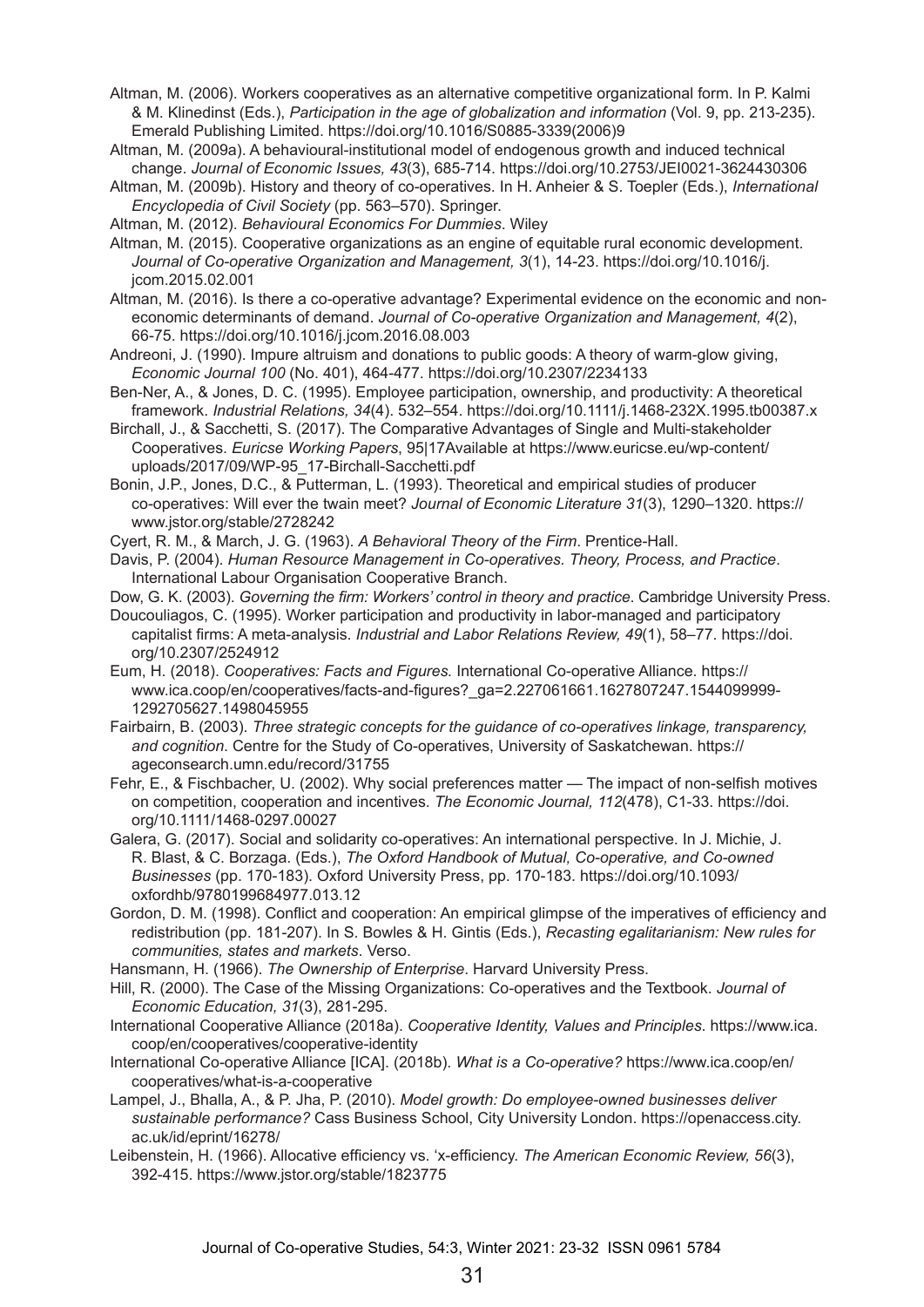- Altman, M. (2006). Workers cooperatives as an alternative competitive organizational form. In P. Kalmi & M. Klinedinst (Eds.), *Participation in the age of globalization and information* (Vol. 9, pp. 213-235). Emerald Publishing Limited. https://doi.org/10.1016/S0885-3339(2006)9
- Altman, M. (2009a). A behavioural-institutional model of endogenous growth and induced technical change. *Journal of Economic Issues, 43*(3), 685-714. https://doi.org/10.2753/JEI0021-3624430306
- Altman, M. (2009b). History and theory of co-operatives. In H. Anheier & S. Toepler (Eds.), *International Encyclopedia of Civil Society* (pp. 563–570). Springer.
- Altman, M. (2012). *Behavioural Economics For Dummies*. Wiley
- Altman, M. (2015). Cooperative organizations as an engine of equitable rural economic development. *Journal of Co-operative Organization and Management, 3*(1), 14-23. https://doi.org/10.1016/j. jcom.2015.02.001
- Altman, M. (2016). Is there a co-operative advantage? Experimental evidence on the economic and noneconomic determinants of demand. *Journal of Co-operative Organization and Management, 4*(2), 66‑75. https://doi.org/10.1016/j.jcom.2016.08.003
- Andreoni, J. (1990). Impure altruism and donations to public goods: A theory of warm-glow giving, *Economic Journal 100* (No. 401), 464-477. https://doi.org/10.2307/2234133
- Ben-Ner, A., & Jones, D. C. (1995). Employee participation, ownership, and productivity: A theoretical framework. *Industrial Relations, 34*(4). 532–554. https://doi.org/10.1111/j.1468-232X.1995.tb00387.x
- Birchall, J., & Sacchetti, S. (2017). The Comparative Advantages of Single and Multi-stakeholder Cooperatives. *Euricse Working Papers*, 95|17Available at https://www.euricse.eu/wp-content/ uploads/2017/09/WP-95\_17-Birchall-Sacchetti.pdf
- Bonin, J.P., Jones, D.C., & Putterman, L. (1993). Theoretical and empirical studies of producer co‑operatives: Will ever the twain meet? *Journal of Economic Literature 31*(3), 1290–1320. https:// www.jstor.org/stable/2728242
- Cyert, R. M., & March, J. G. (1963). *A Behavioral Theory of the Firm*. Prentice-Hall.
- Davis, P. (2004). *Human Resource Management in Co-operatives. Theory, Process, and Practice*. International Labour Organisation Cooperative Branch.
- Dow, G. K. (2003). *Governing the firm: Workers' control in theory and practice*. Cambridge University Press.
- Doucouliagos, C. (1995). Worker participation and productivity in labor-managed and participatory capitalist firms: A meta-analysis. *Industrial and Labor Relations Review, 49*(1), 58–77. https://doi. org/10.2307/2524912
- Eum, H. (2018). *Cooperatives: Facts and Figures.* International Co-operative Alliance. https:// www.ica.coop/en/cooperatives/facts-and-figures?\_ga=2.227061661.1627807247.1544099999- 1292705627.1498045955
- Fairbairn, B. (2003). *Three strategic concepts for the guidance of co-operatives linkage, transparency, and cognition*. Centre for the Study of Co-operatives, University of Saskatchewan. https:// ageconsearch.umn.edu/record/31755
- Fehr, E., & Fischbacher, U. (2002). Why social preferences matter The impact of non-selfish motives on competition, cooperation and incentives. *The Economic Journal, 112*(478), C1-33. https://doi. org/10.1111/1468-0297.00027
- Galera, G. (2017). Social and solidarity co-operatives: An international perspective. In J. Michie, J. R. Blast, & C. Borzaga. (Eds.), *The Oxford Handbook of Mutual, Co-operative, and Co-owned Businesses* (pp. 170-183). Oxford University Press, pp. 170-183. https://doi.org/10.1093/ oxfordhb/9780199684977.013.12
- Gordon, D. M. (1998). Conflict and cooperation: An empirical glimpse of the imperatives of efficiency and redistribution (pp. 181-207). In S. Bowles & H. Gintis (Eds.), *Recasting egalitarianism: New rules for communities, states and markets*. Verso.
- Hansmann, H. (1966). *The Ownership of Enterprise*. Harvard University Press.
- Hill, R. (2000). The Case of the Missing Organizations: Co-operatives and the Textbook. *Journal of Economic Education, 31*(3), 281-295.
- International Cooperative Alliance (2018a). *Cooperative Identity, Values and Principles*. https://www.ica. coop/en/cooperatives/cooperative-identity
- International Co-operative Alliance [ICA]. (2018b). *What is a Co-operative?* https://www.ica.coop/en/ cooperatives/what-is-a-cooperative
- Lampel, J., Bhalla, A., & P. Jha, P. (2010). *Model growth: Do employee-owned businesses deliver sustainable performance?* Cass Business School, City University London. https://openaccess.city. ac.uk/id/eprint/16278/
- Leibenstein, H. (1966). Allocative efficiency vs. 'x-efficiency. *The American Economic Review, 56*(3), 392‑415. https://www.jstor.org/stable/1823775